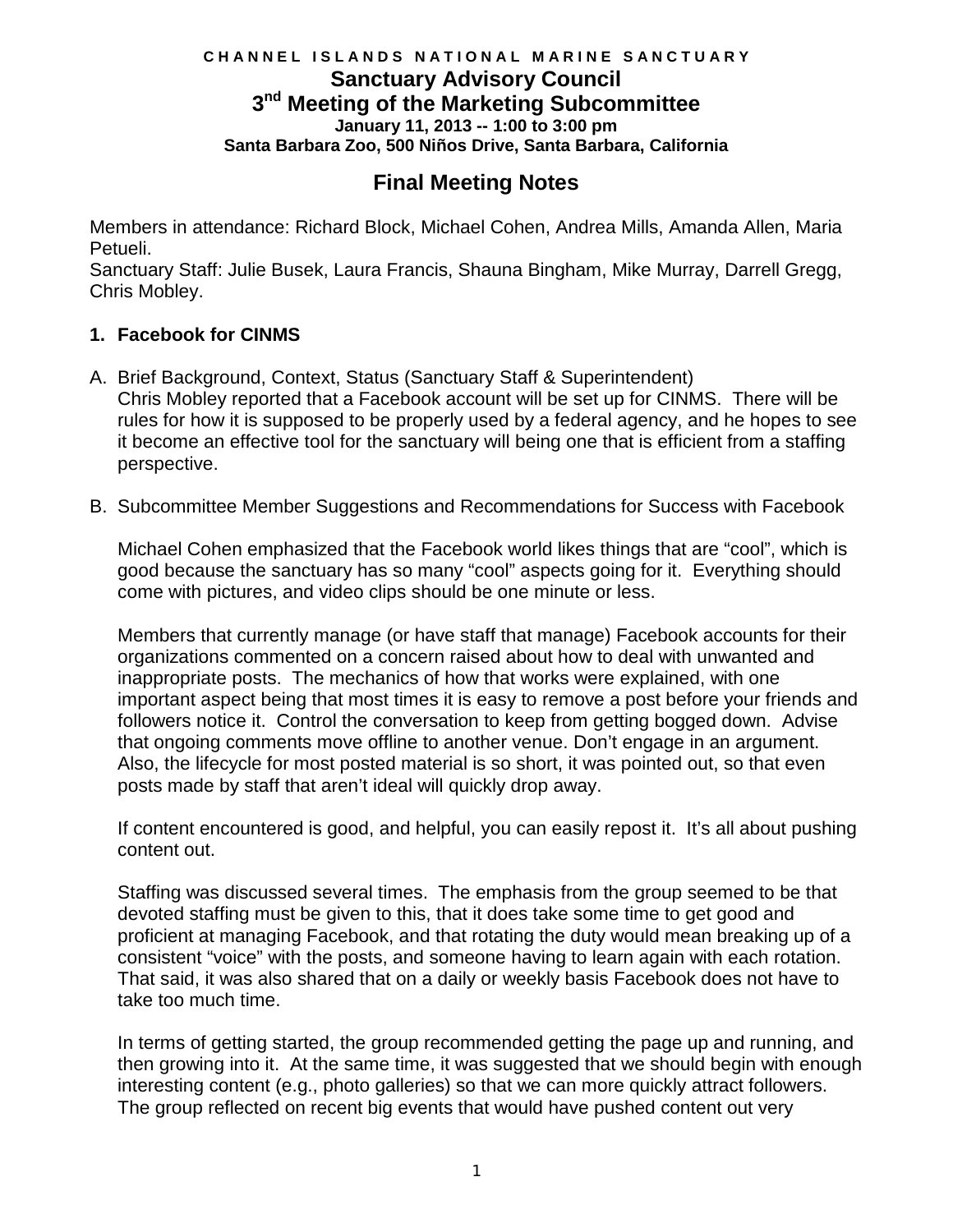## **C H A N N E L I S L A N D S N A T I O N A L M A R I N E S A N C T U A R Y January 11, 2013 -- 1:00 to 3:00 pm Santa Barbara Zoo, 500 Niños Drive, Santa Barbara, California Sanctuary Advisory Council 3nd Meeting of the Marketing Subcommittee**

# **Final Meeting Notes**

Members in attendance: Richard Block, Michael Cohen, Andrea Mills, Amanda Allen, Maria Petueli.

Sanctuary Staff: Julie Busek, Laura Francis, Shauna Bingham, Mike Murray, Darrell Gregg, Chris Mobley.

## **1. Facebook for CINMS**

- it become an effective tool for the sanctuary will being one that is efficient from a staffing A. Brief Background, Context, Status (Sanctuary Staff & Superintendent) Chris Mobley reported that a Facebook account will be set up for CINMS. There will be rules for how it is supposed to be properly used by a federal agency, and he hopes to see perspective.
- B. Subcommittee Member Suggestions and Recommendations for Success with Facebook

 good because the sanctuary has so many "cool" aspects going for it. Everything should Michael Cohen emphasized that the Facebook world likes things that are "cool", which is come with pictures, and video clips should be one minute or less.

 Members that currently manage (or have staff that manage) Facebook accounts for their inappropriate posts. The mechanics of how that works were explained, with one followers notice it. Control the conversation to keep from getting bogged down. Advise that ongoing comments move offline to another venue. Don't engage in an argument. that ongoing comments move offline to another venue. Don't engage in an argument.<br>Also, the lifecycle for most posted material is so short, it was pointed out, so that even posts made by staff that aren't ideal will quickly drop away. organizations commented on a concern raised about how to deal with unwanted and important aspect being that most times it is easy to remove a post before your friends and

If content encountered is good, and helpful, you can easily repost it. It's all about pushing content out.

 Staffing was discussed several times. The emphasis from the group seemed to be that devoted staffing must be given to this, that it does take some time to get good and consistent "voice" with the posts, and someone having to learn again with each rotation.<br>That said, it was also shared that on a daily or weekly basis Facebook does not have to proficient at managing Facebook, and that rotating the duty would mean breaking up of a take too much time.

 interesting content (e.g., photo galleries) so that we can more quickly attract followers. In terms of getting started, the group recommended getting the page up and running, and then growing into it. At the same time, it was suggested that we should begin with enough The group reflected on recent big events that would have pushed content out very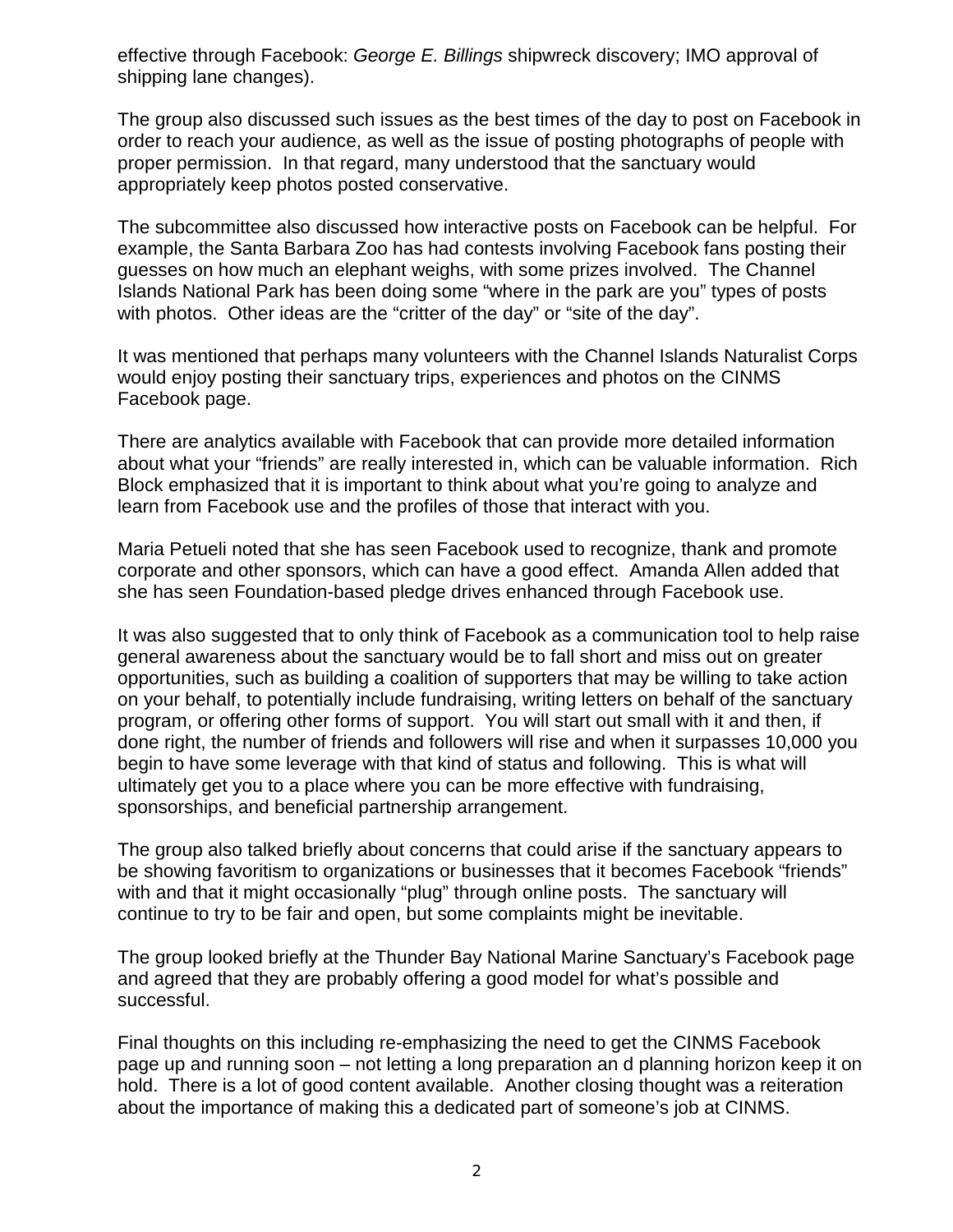effective through Facebook: *George E. Billings* shipwreck discovery; IMO approval of shipping lane changes).

 The group also discussed such issues as the best times of the day to post on Facebook in order to reach your audience, as well as the issue of posting photographs of people with proper permission. In that regard, many understood that the sanctuary would appropriately keep photos posted conservative.

 guesses on how much an elephant weighs, with some prizes involved. The Channel The subcommittee also discussed how interactive posts on Facebook can be helpful. For example, the Santa Barbara Zoo has had contests involving Facebook fans posting their Islands National Park has been doing some "where in the park are you" types of posts with photos. Other ideas are the "critter of the day" or "site of the day".

 It was mentioned that perhaps many volunteers with the Channel Islands Naturalist Corps Facebook page. would enjoy posting their sanctuary trips, experiences and photos on the CINMS

 about what your "friends" are really interested in, which can be valuable information. Rich There are analytics available with Facebook that can provide more detailed information Block emphasized that it is important to think about what you're going to analyze and learn from Facebook use and the profiles of those that interact with you.

Maria Petueli noted that she has seen Facebook used to recognize, thank and promote corporate and other sponsors, which can have a good effect. Amanda Allen added that she has seen Foundation-based pledge drives enhanced through Facebook use.

 general awareness about the sanctuary would be to fall short and miss out on greater program, or offering other forms of support. You will start out small with it and then, if sponsorships, and beneficial partnership arrangement. It was also suggested that to only think of Facebook as a communication tool to help raise opportunities, such as building a coalition of supporters that may be willing to take action on your behalf, to potentially include fundraising, writing letters on behalf of the sanctuary done right, the number of friends and followers will rise and when it surpasses 10,000 you begin to have some leverage with that kind of status and following. This is what will ultimately get you to a place where you can be more effective with fundraising,

 be showing favoritism to organizations or businesses that it becomes Facebook "friends" with and that it might occasionally "plug" through online posts. The sanctuary will The group also talked briefly about concerns that could arise if the sanctuary appears to continue to try to be fair and open, but some complaints might be inevitable.

 and agreed that they are probably offering a good model for what's possible and The group looked briefly at the Thunder Bay National Marine Sanctuary's Facebook page successful.

 hold. There is a lot of good content available. Another closing thought was a reiteration about the importance of making this a dedicated part of someone's job at CINMS. Final thoughts on this including re-emphasizing the need to get the CINMS Facebook page up and running soon – not letting a long preparation an d planning horizon keep it on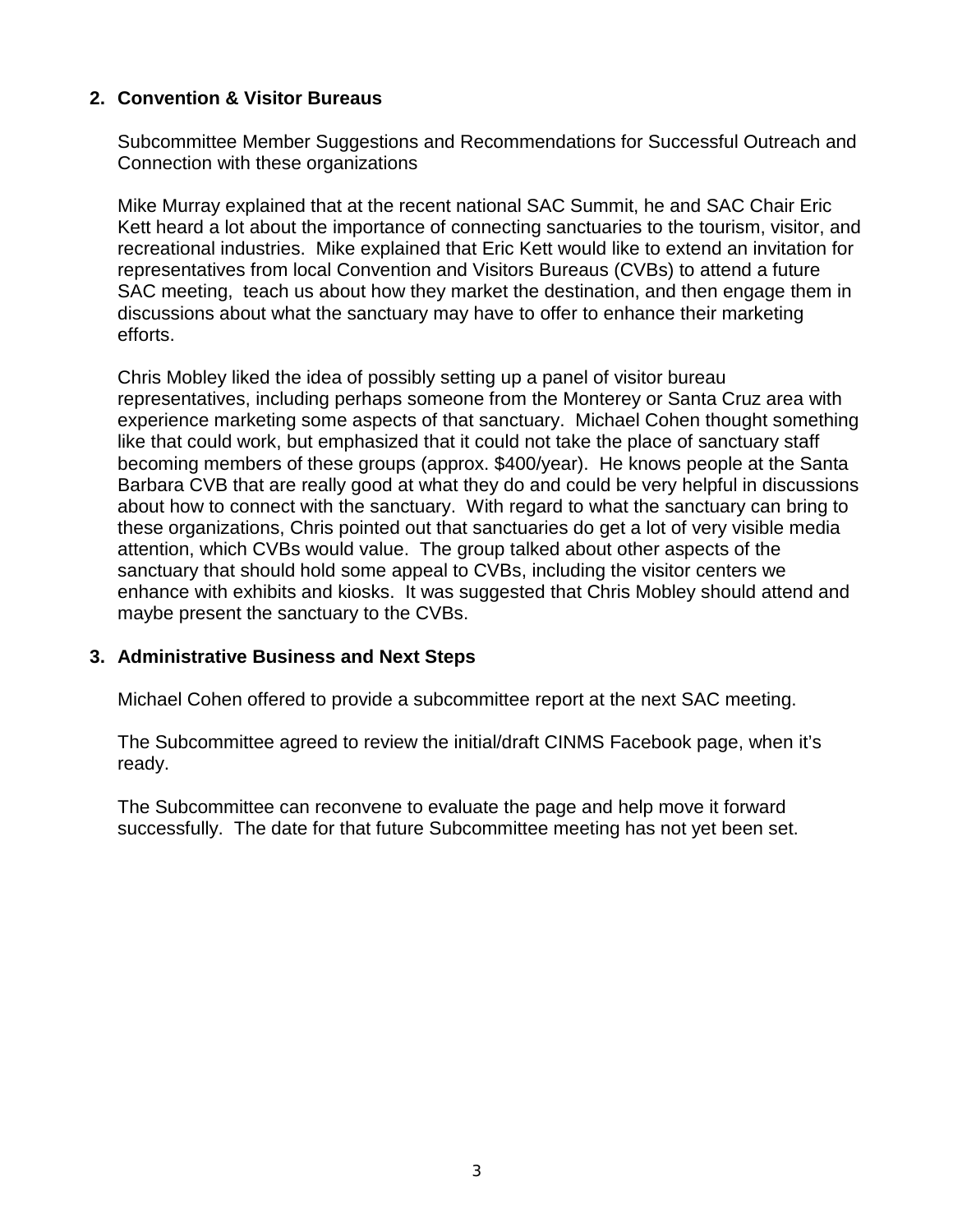## **2. Convention & Visitor Bureaus**

Subcommittee Member Suggestions and Recommendations for Successful Outreach and Connection with these organizations

 SAC meeting, teach us about how they market the destination, and then engage them in efforts. Mike Murray explained that at the recent national SAC Summit, he and SAC Chair Eric Kett heard a lot about the importance of connecting sanctuaries to the tourism, visitor, and recreational industries. Mike explained that Eric Kett would like to extend an invitation for representatives from local Convention and Visitors Bureaus (CVBs) to attend a future discussions about what the sanctuary may have to offer to enhance their marketing

 experience marketing some aspects of that sanctuary. Michael Cohen thought something about how to connect with the sanctuary. With regard to what the sanctuary can bring to these organizations, Chris pointed out that sanctuaries do get a lot of very visible media attention, which CVBs would value. The group talked about other aspects of the Chris Mobley liked the idea of possibly setting up a panel of visitor bureau representatives, including perhaps someone from the Monterey or Santa Cruz area with like that could work, but emphasized that it could not take the place of sanctuary staff becoming members of these groups (approx. \$400/year). He knows people at the Santa Barbara CVB that are really good at what they do and could be very helpful in discussions sanctuary that should hold some appeal to CVBs, including the visitor centers we enhance with exhibits and kiosks. It was suggested that Chris Mobley should attend and maybe present the sanctuary to the CVBs.

### **3. Administrative Business and Next Steps**

Michael Cohen offered to provide a subcommittee report at the next SAC meeting.

The Subcommittee agreed to review the initial/draft CINMS Facebook page, when it's ready.

 successfully. The date for that future Subcommittee meeting has not yet been set. The Subcommittee can reconvene to evaluate the page and help move it forward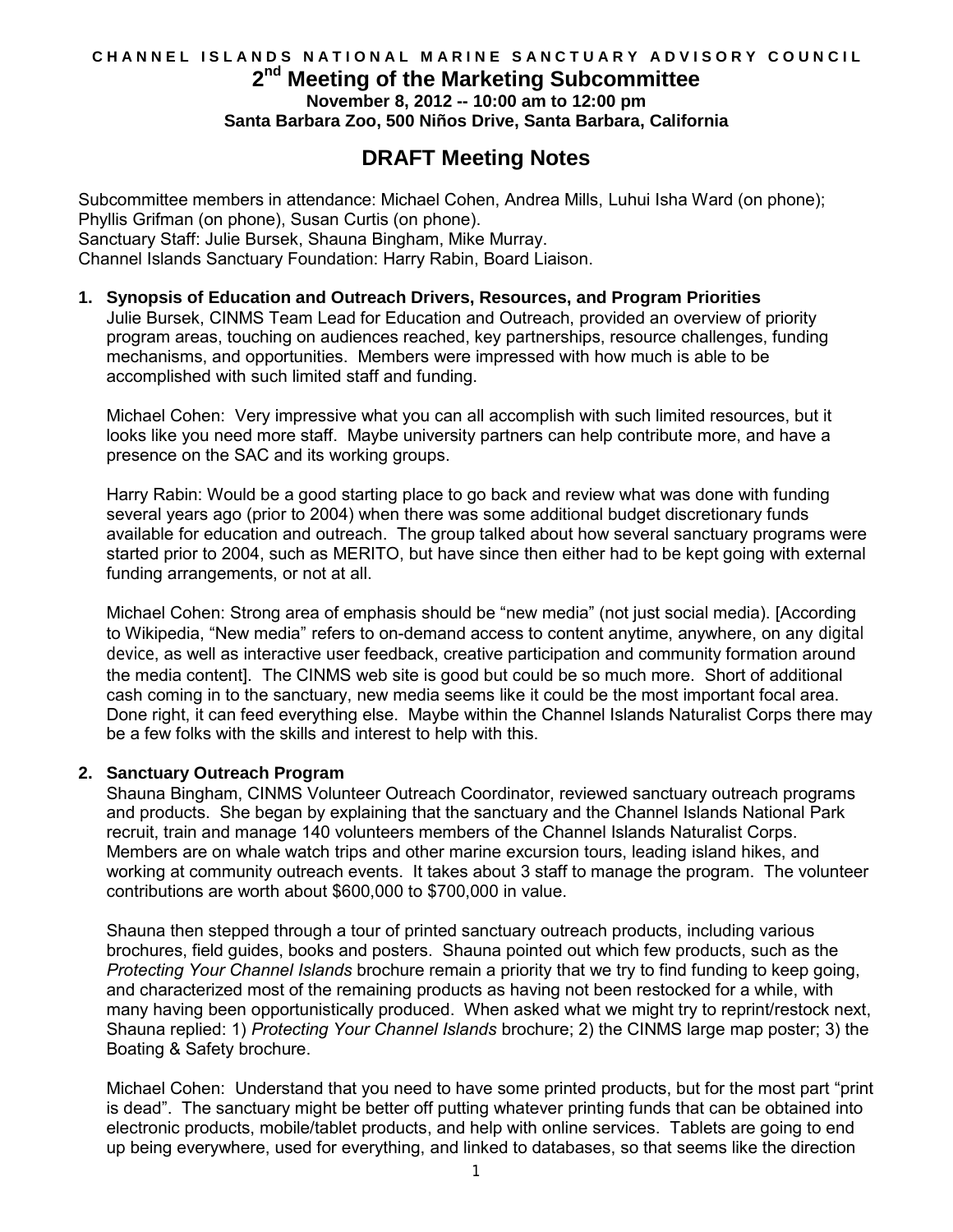### CHANNEL ISLANDS NATIONAL MARINE SANCTUARY ADVISORY COUNCIL  **2nd Meeting of the Marketing Subcommittee Santa Barbara Zoo, 500 Niños Drive, Santa Barbara, California November 8, 2012 -- 10:00 am to 12:00 pm**

# **DRAFT Meeting Notes**

 Subcommittee members in attendance: Michael Cohen, Andrea Mills, Luhui Isha Ward (on phone); Phyllis Grifman (on phone), Susan Curtis (on phone). Sanctuary Staff: Julie Bursek, Shauna Bingham, Mike Murray. Channel Islands Sanctuary Foundation: Harry Rabin, Board Liaison.

#### **1. Synopsis of Education and Outreach Drivers, Resources, and Program Priorities**

 Julie Bursek, CINMS Team Lead for Education and Outreach, provided an overview of priority program areas, touching on audiences reached, key partnerships, resource challenges, funding mechanisms, and opportunities. Members were impressed with how much is able to be accomplished with such limited staff and funding.

 Michael Cohen: Very impressive what you can all accomplish with such limited resources, but it looks like you need more staff. Maybe university partners can help contribute more, and have a presence on the SAC and its working groups.

 Harry Rabin: Would be a good starting place to go back and review what was done with funding several years ago (prior to 2004) when there was some additional budget discretionary funds available for education and outreach. The group talked about how several sanctuary programs were started prior to 2004, such as MERITO, but have since then either had to be kept going with external funding arrangements, or not at all.

 Michael Cohen: Strong area of emphasis should be "new media" (not just social media). [According to Wikipedia, "New media" refers to on-demand access to content anytime, anywhere, on any [digital](http://en.wikipedia.org/wiki/Digital_technology)  [device](http://en.wikipedia.org/wiki/Digital_technology), as well as interactive user feedback, creative participation and community formation around the media content]. The CINMS web site is good but could be so much more. Short of additional cash coming in to the sanctuary, new media seems like it could be the most important focal area. Done right, it can feed everything else. Maybe within the Channel Islands Naturalist Corps there may be a few folks with the skills and interest to help with this.

#### **2. Sanctuary Outreach Program**

 Shauna Bingham, CINMS Volunteer Outreach Coordinator, reviewed sanctuary outreach programs and products. She began by explaining that the sanctuary and the Channel Islands National Park recruit, train and manage 140 volunteers members of the Channel Islands Naturalist Corps. Members are on whale watch trips and other marine excursion tours, leading island hikes, and working at community outreach events. It takes about 3 staff to manage the program. The volunteer contributions are worth about \$600,000 to \$700,000 in value.

 Shauna then stepped through a tour of printed sanctuary outreach products, including various brochures, field guides, books and posters. Shauna pointed out which few products, such as the  *Protecting Your Channel Islands* brochure remain a priority that we try to find funding to keep going, and characterized most of the remaining products as having not been restocked for a while, with many having been opportunistically produced. When asked what we might try to reprint/restock next, Shauna replied: 1) *Protecting Your Channel Islands* brochure; 2) the CINMS large map poster; 3) the Boating & Safety brochure.

 Michael Cohen: Understand that you need to have some printed products, but for the most part "print is dead". The sanctuary might be better off putting whatever printing funds that can be obtained into electronic products, mobile/tablet products, and help with online services. Tablets are going to end up being everywhere, used for everything, and linked to databases, so that seems like the direction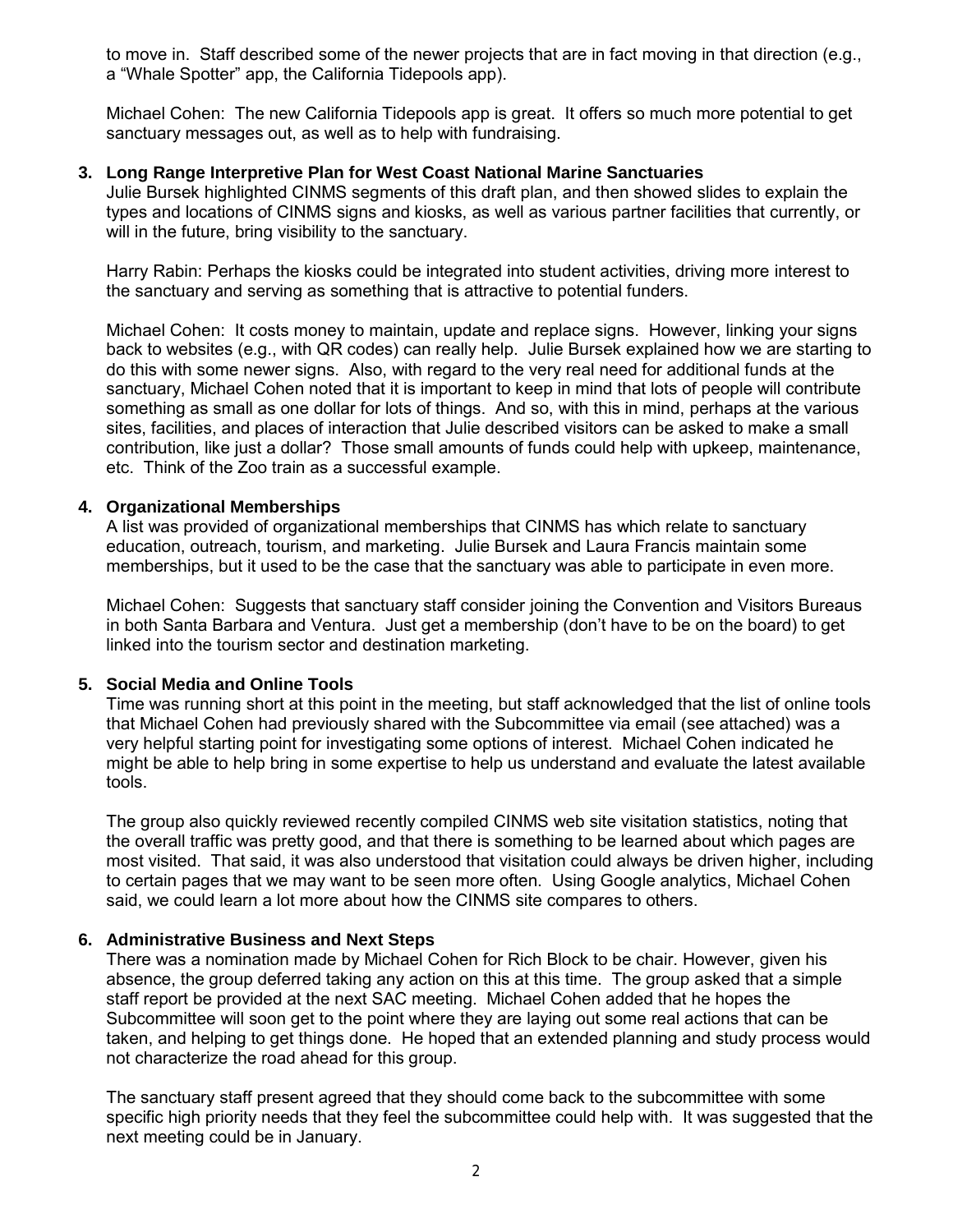to move in. Staff described some of the newer projects that are in fact moving in that direction (e.g., a "Whale Spotter" app, the California Tidepools app).

 Michael Cohen: The new California Tidepools app is great. It offers so much more potential to get sanctuary messages out, as well as to help with fundraising.

#### **3. Long Range Interpretive Plan for West Coast National Marine Sanctuaries**

 Julie Bursek highlighted CINMS segments of this draft plan, and then showed slides to explain the types and locations of CINMS signs and kiosks, as well as various partner facilities that currently, or will in the future, bring visibility to the sanctuary.

 Harry Rabin: Perhaps the kiosks could be integrated into student activities, driving more interest to the sanctuary and serving as something that is attractive to potential funders.

 Michael Cohen: It costs money to maintain, update and replace signs. However, linking your signs back to websites (e.g., with QR codes) can really help. Julie Bursek explained how we are starting to do this with some newer signs. Also, with regard to the very real need for additional funds at the sanctuary, Michael Cohen noted that it is important to keep in mind that lots of people will contribute something as small as one dollar for lots of things. And so, with this in mind, perhaps at the various sites, facilities, and places of interaction that Julie described visitors can be asked to make a small contribution, like just a dollar? Those small amounts of funds could help with upkeep, maintenance, etc. Think of the Zoo train as a successful example.

#### **4. Organizational Memberships**

 A list was provided of organizational memberships that CINMS has which relate to sanctuary education, outreach, tourism, and marketing. Julie Bursek and Laura Francis maintain some memberships, but it used to be the case that the sanctuary was able to participate in even more.

 Michael Cohen: Suggests that sanctuary staff consider joining the Convention and Visitors Bureaus in both Santa Barbara and Ventura. Just get a membership (don't have to be on the board) to get linked into the tourism sector and destination marketing.

#### **5. Social Media and Online Tools**

 Time was running short at this point in the meeting, but staff acknowledged that the list of online tools that Michael Cohen had previously shared with the Subcommittee via email (see attached) was a very helpful starting point for investigating some options of interest. Michael Cohen indicated he might be able to help bring in some expertise to help us understand and evaluate the latest available tools.

 The group also quickly reviewed recently compiled CINMS web site visitation statistics, noting that the overall traffic was pretty good, and that there is something to be learned about which pages are most visited. That said, it was also understood that visitation could always be driven higher, including to certain pages that we may want to be seen more often. Using Google analytics, Michael Cohen said, we could learn a lot more about how the CINMS site compares to others.

#### **6. Administrative Business and Next Steps**

 There was a nomination made by Michael Cohen for Rich Block to be chair. However, given his absence, the group deferred taking any action on this at this time. The group asked that a simple staff report be provided at the next SAC meeting. Michael Cohen added that he hopes the Subcommittee will soon get to the point where they are laying out some real actions that can be taken, and helping to get things done. He hoped that an extended planning and study process would not characterize the road ahead for this group.

 The sanctuary staff present agreed that they should come back to the subcommittee with some specific high priority needs that they feel the subcommittee could help with. It was suggested that the next meeting could be in January.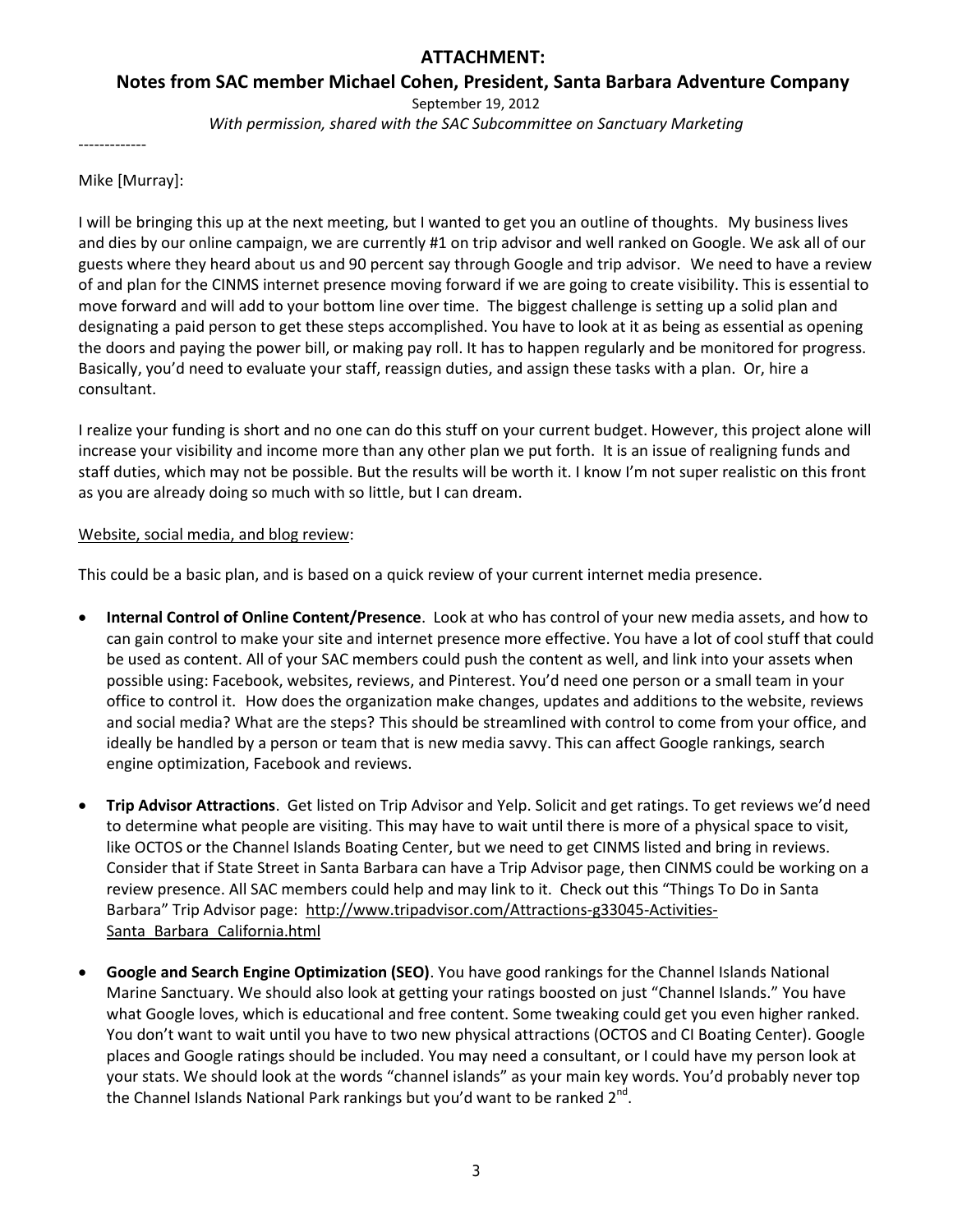## **ATTACHMENT:**

 **Notes from SAC member Michael Cohen, President, Santa Barbara Adventure Company** 

September 19, 2012

*With permission, shared with the SAC Subcommittee on Sanctuary Marketing* 

-------------

Mike [Murray]:

 I will be bringing this up at the next meeting, but I wanted to get you an outline of thoughts. My business lives and dies by our online campaign, we are currently #1 on trip advisor and well ranked on Google. We ask all of our guests where they heard about us and 90 percent say through Google and trip advisor. We need to have a review move forward and will add to your bottom line over time. The biggest challenge is setting up a solid plan and designating a paid person to get these steps accomplished. You have to look at it as being as essential as opening Basically, you'd need to evaluate your staff, reassign duties, and assign these tasks with a plan. Or, hire a of and plan for the CINMS internet presence moving forward if we are going to create visibility. This is essential to the doors and paying the power bill, or making pay roll. It has to happen regularly and be monitored for progress. consultant.

 increase your visibility and income more than any other plan we put forth. It is an issue of realigning funds and I realize your funding is short and no one can do this stuff on your current budget. However, this project alone will staff duties, which may not be possible. But the results will be worth it. I know I'm not super realistic on this front as you are already doing so much with so little, but I can dream.

#### Website, social media, and blog review:

This could be a basic plan, and is based on a quick review of your current internet media presence.

- be used as content. All of your SAC members could push the content as well, and link into your assets when possible using: Facebook, websites, reviews, and Pinterest. You'd need one person or a small team in your office to control it. How does the organization make changes, updates and additions to the website, reviews and social media? What are the steps? This should be streamlined with control to come from your office, and ideally be handled by a person or team that is new media savvy. This can affect Google rankings, search **Internal Control of Online Content/Presence**. Look at who has control of your new media assets, and how to can gain control to make your site and internet presence more effective. You have a lot of cool stuff that could engine optimization, Facebook and reviews.
- **Trip Advisor Attractions**. Get listed on Trip Advisor and Yelp. Solicit and get ratings. To get reviews we'd need to determine what people are visiting. This may have to wait until there is more of a physical space to visit, like OCTOS or the Channel Islands Boating Center, but we need to get CINMS listed and bring in reviews. Consider that if State Street in Santa Barbara can have a Trip Advisor page, then CINMS could be working on a review presence. All SAC members could help and may link to it. Check out this "Things To Do in Santa Barbara" Trip Advisor page: [http://www.tripadvisor.com/Attractions-g33045-Activities-](http://www.tripadvisor.com/Attractions-g33045-Activities-Santa_Barbara_California.html)[Santa\\_Barbara\\_California.html](http://www.tripadvisor.com/Attractions-g33045-Activities-Santa_Barbara_California.html)
- Marine Sanctuary. We should also look at getting your ratings boosted on just "Channel Islands." You have what Google loves, which is educational and free content. Some tweaking could get you even higher ranked. You don't want to wait until you have to two new physical attractions (OCTOS and CI Boating Center). Google places and Google ratings should be included. You may need a consultant, or I could have my person look at your stats. We should look at the words "channel islands" as your main key words. You'd probably never top **Google and Search Engine Optimization (SEO)**. You have good rankings for the Channel Islands National the Channel Islands National Park rankings but you'd want to be ranked  $2^{nd}$ .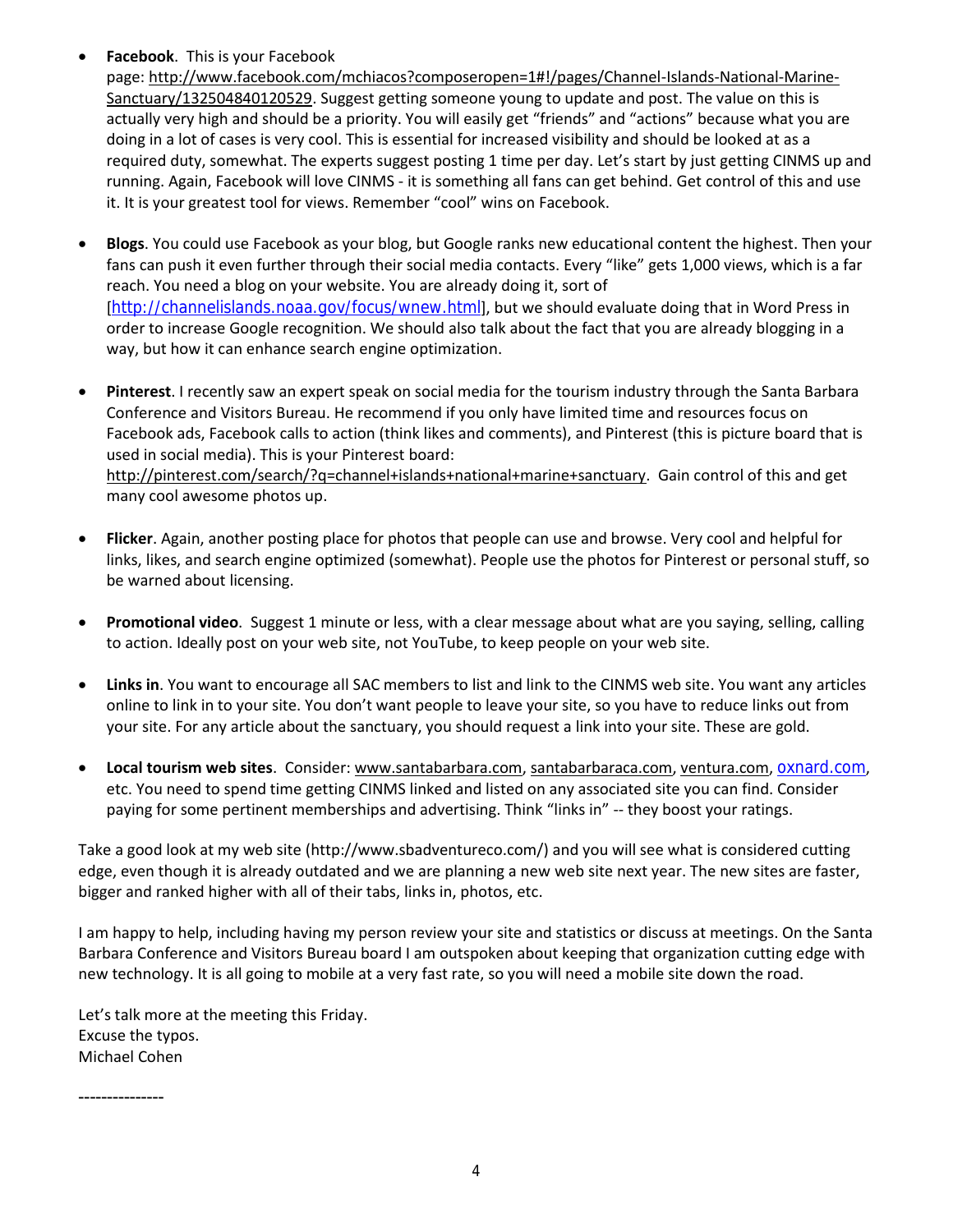**Facebook**. This is your Facebook

[Sanctuary/132504840120529.](http://www.facebook.com/mchiacos?composeropen=1#!/pages/Channel-Islands-National-Marine-Sanctuary/132504840120529) Suggest getting someone young to update and post. The value on this is actually very high and should be a priority. You will easily get "friends" and "actions" because what you are running. Again, Facebook will love CINMS - it is something all fans can get behind. Get control of this and use it. It is your greatest tool for views. Remember "cool" wins on Facebook. page[: http://www.facebook.com/mchiacos?composeropen=1#!/pages/Channel-Islands-National-Marine](http://www.facebook.com/mchiacos?composeropen=1#!/pages/Channel-Islands-National-Marine-Sanctuary/132504840120529)doing in a lot of cases is very cool. This is essential for increased visibility and should be looked at as a required duty, somewhat. The experts suggest posting 1 time per day. Let's start by just getting CINMS up and

- **Blogs**. You could use Facebook as your blog, but Google ranks new educational content the highest. Then your fans can push it even further through their social media contacts. Every "like" gets 1,000 views, which is a far reach. You need a blog on your website. You are already doing it, sort of [<http://channelislands.noaa.gov/focus/wnew.html>], but we should evaluate doing that in Word Press in order to increase Google recognition. We should also talk about the fact that you are already blogging in a way, but how it can enhance search engine optimization.
- Conference and Visitors Bureau. He recommend if you only have limited time and resources focus on Facebook ads, Facebook calls to action (think likes and comments), and Pinterest (this is picture board that is used in social media). This is your Pinterest board: [http://pinterest.com/search/?q=channel+islands+national+marine+sanctuary.](http://pinterest.com/search/?q=channel+islands+national+marine+sanctuary) Gain control of this and get **Pinterest**. I recently saw an expert speak on social media for the tourism industry through the Santa Barbara many cool awesome photos up.
- **Flicker**. Again, another posting place for photos that people can use and browse. Very cool and helpful for links, likes, and search engine optimized (somewhat). People use the photos for Pinterest or personal stuff, so be warned about licensing.
- **Promotional video**. Suggest 1 minute or less, with a clear message about what are you saying, selling, calling to action. Ideally post on your web site, not YouTube, to keep people on your web site.
- **Links in**. You want to encourage all SAC members to list and link to the CINMS web site. You want any articles online to link in to your site. You don't want people to leave your site, so you have to reduce links out from your site. For any article about the sanctuary, you should request a link into your site. These are gold.
- etc. You need to spend time getting CINMS linked and listed on any associated site you can find. Consider paying for some pertinent memberships and advertising. Think "links in" -- they boost your ratings. **Local tourism web sites**. Consider[: www.santabarbara.com,](http://www.santabarbara.com/) [santabarbaraca.com,](http://santabarbaraca.com/) [ventura.com,](http://ventura.com/) [oxnard.com](http://oxnard.com/),

 Take a good look at my web site [\(http://www.sbadventureco.com/\)](http://www.sbadventureco.com/) and you will see what is considered cutting edge, even though it is already outdated and we are planning a new web site next year. The new sites are faster, bigger and ranked higher with all of their tabs, links in, photos, etc.

 I am happy to help, including having my person review your site and statistics or discuss at meetings. On the Santa Barbara Conference and Visitors Bureau board I am outspoken about keeping that organization cutting edge with new technology. It is all going to mobile at a very fast rate, so you will need a mobile site down the road.

Let's talk more at the meeting this Friday. Excuse the typos. Michael Cohen

---------------

4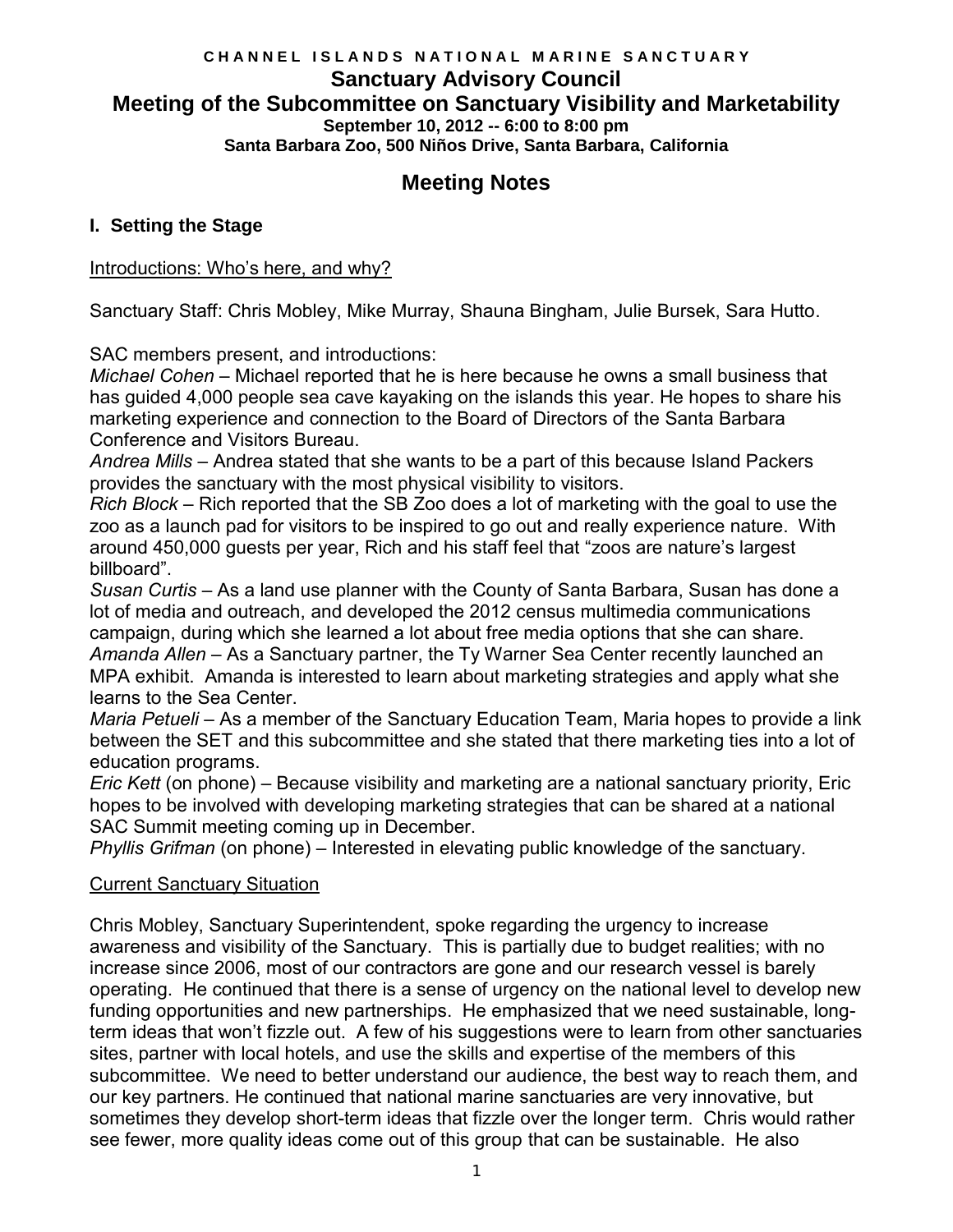## **C H A N N E L I S L A N D S N A T I O N A L M A R I N E S A N C T U A R Y Sanctuary Advisory Council Meeting of the Subcommittee on Sanctuary Visibility and Marketability September 10, 2012 -- 6:00 to 8:00 pm Santa Barbara Zoo, 500 Niños Drive, Santa Barbara, California**

# **Meeting Notes**

## **I. Setting the Stage**

### Introductions: Who's here, and why?

Sanctuary Staff: Chris Mobley, Mike Murray, Shauna Bingham, Julie Bursek, Sara Hutto.

SAC members present, and introductions:

 *Michael Cohen* – Michael reported that he is here because he owns a small business that has guided 4,000 people sea cave kayaking on the islands this year. He hopes to share his marketing experience and connection to the Board of Directors of the Santa Barbara Conference and Visitors Bureau.

 *Andrea Mills* – Andrea stated that she wants to be a part of this because Island Packers provides the sanctuary with the most physical visibility to visitors.

 *Rich Block* – Rich reported that the SB Zoo does a lot of marketing with the goal to use the zoo as a launch pad for visitors to be inspired to go out and really experience nature. With around 450,000 guests per year, Rich and his staff feel that "zoos are nature's largest billboard".

 *Susan Curtis* – As a land use planner with the County of Santa Barbara, Susan has done a campaign, during which she learned a lot about free media options that she can share. *Amanda Allen* – As a Sanctuary partner, the Ty Warner Sea Center recently launched an MPA exhibit. Amanda is interested to learn about marketing strategies and apply what she lot of media and outreach, and developed the 2012 census multimedia communications learns to the Sea Center.

 *Maria Petueli* – As a member of the Sanctuary Education Team, Maria hopes to provide a link between the SET and this subcommittee and she stated that there marketing ties into a lot of education programs.

 hopes to be involved with developing marketing strategies that can be shared at a national SAC Summit meeting coming up in December. *Eric Kett* (on phone) – Because visibility and marketing are a national sanctuary priority, Eric

*Phyllis Grifman* (on phone) – Interested in elevating public knowledge of the sanctuary.

### Current Sanctuary Situation

 awareness and visibility of the Sanctuary. This is partially due to budget realities; with no increase since 2006, most of our contractors are gone and our research vessel is barely operating. He continued that there is a sense of urgency on the national level to develop new term ideas that won't fizzle out. A few of his suggestions were to learn from other sanctuaries sites, partner with local hotels, and use the skills and expertise of the members of this subcommittee. We need to better understand our audience, the best way to reach them, and sometimes they develop short-term ideas that fizzle over the longer term. Chris would rather Chris Mobley, Sanctuary Superintendent, spoke regarding the urgency to increase funding opportunities and new partnerships. He emphasized that we need sustainable, longour key partners. He continued that national marine sanctuaries are very innovative, but see fewer, more quality ideas come out of this group that can be sustainable. He also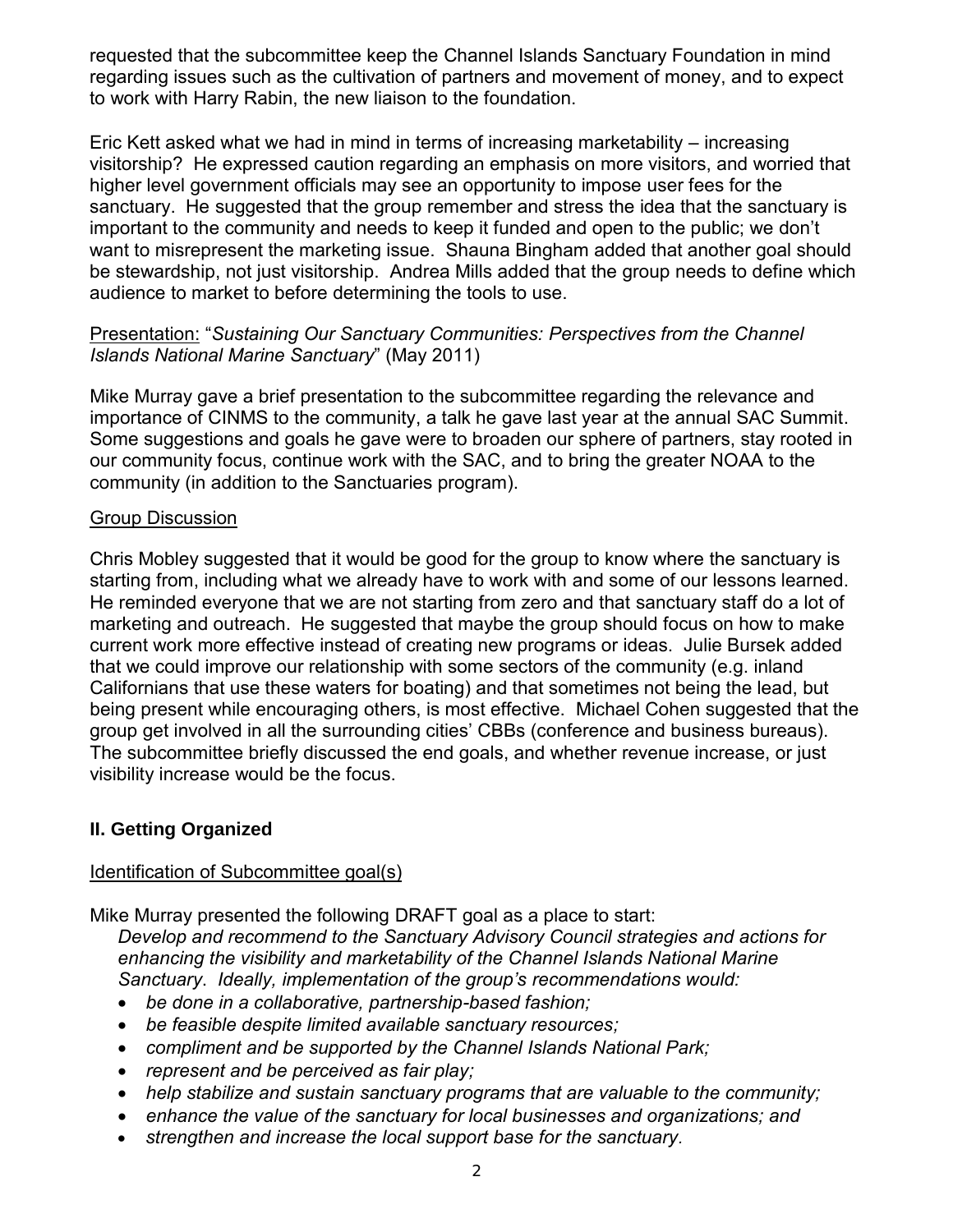requested that the subcommittee keep the Channel Islands Sanctuary Foundation in mind regarding issues such as the cultivation of partners and movement of money, and to expect to work with Harry Rabin, the new liaison to the foundation.

 Eric Kett asked what we had in mind in terms of increasing marketability – increasing visitorship? He expressed caution regarding an emphasis on more visitors, and worried that higher level government officials may see an opportunity to impose user fees for the important to the community and needs to keep it funded and open to the public; we don't be stewardship, not just visitorship. Andrea Mills added that the group needs to define which audience to market to before determining the tools to use. sanctuary. He suggested that the group remember and stress the idea that the sanctuary is want to misrepresent the marketing issue. Shauna Bingham added that another goal should

## Presentation: "*Sustaining Our Sanctuary Communities: Perspectives from the Channel Islands National Marine Sanctuary*" (May 2011)

 our community focus, continue work with the SAC, and to bring the greater NOAA to the community (in addition to the Sanctuaries program). Mike Murray gave a brief presentation to the subcommittee regarding the relevance and importance of CINMS to the community, a talk he gave last year at the annual SAC Summit. Some suggestions and goals he gave were to broaden our sphere of partners, stay rooted in

## Group Discussion

 Chris Mobley suggested that it would be good for the group to know where the sanctuary is starting from, including what we already have to work with and some of our lessons learned. current work more effective instead of creating new programs or ideas. Julie Bursek added being present while encouraging others, is most effective. Michael Cohen suggested that the visibility increase would be the focus. He reminded everyone that we are not starting from zero and that sanctuary staff do a lot of marketing and outreach. He suggested that maybe the group should focus on how to make that we could improve our relationship with some sectors of the community (e.g. inland Californians that use these waters for boating) and that sometimes not being the lead, but group get involved in all the surrounding cities' CBBs (conference and business bureaus). The subcommittee briefly discussed the end goals, and whether revenue increase, or just

## **II. Getting Organized**

## Identification of Subcommittee goal(s)

Mike Murray presented the following DRAFT goal as a place to start:

 *Sanctuary*. *Ideally, implementation of the group's recommendations would: Develop and recommend to the Sanctuary Advisory Council strategies and actions for enhancing the visibility and marketability of the Channel Islands National Marine*

- *be done in a collaborative, partnership-based fashion;*
- *be feasible despite limited available sanctuary resources;*
- *compliment and be supported by the Channel Islands National Park;*
- *represent and be perceived as fair play;*
- *help stabilize and sustain sanctuary programs that are valuable to the community;*
- *enhance the value of the sanctuary for local businesses and organizations; and*
- *strengthen and increase the local support base for the sanctuary.*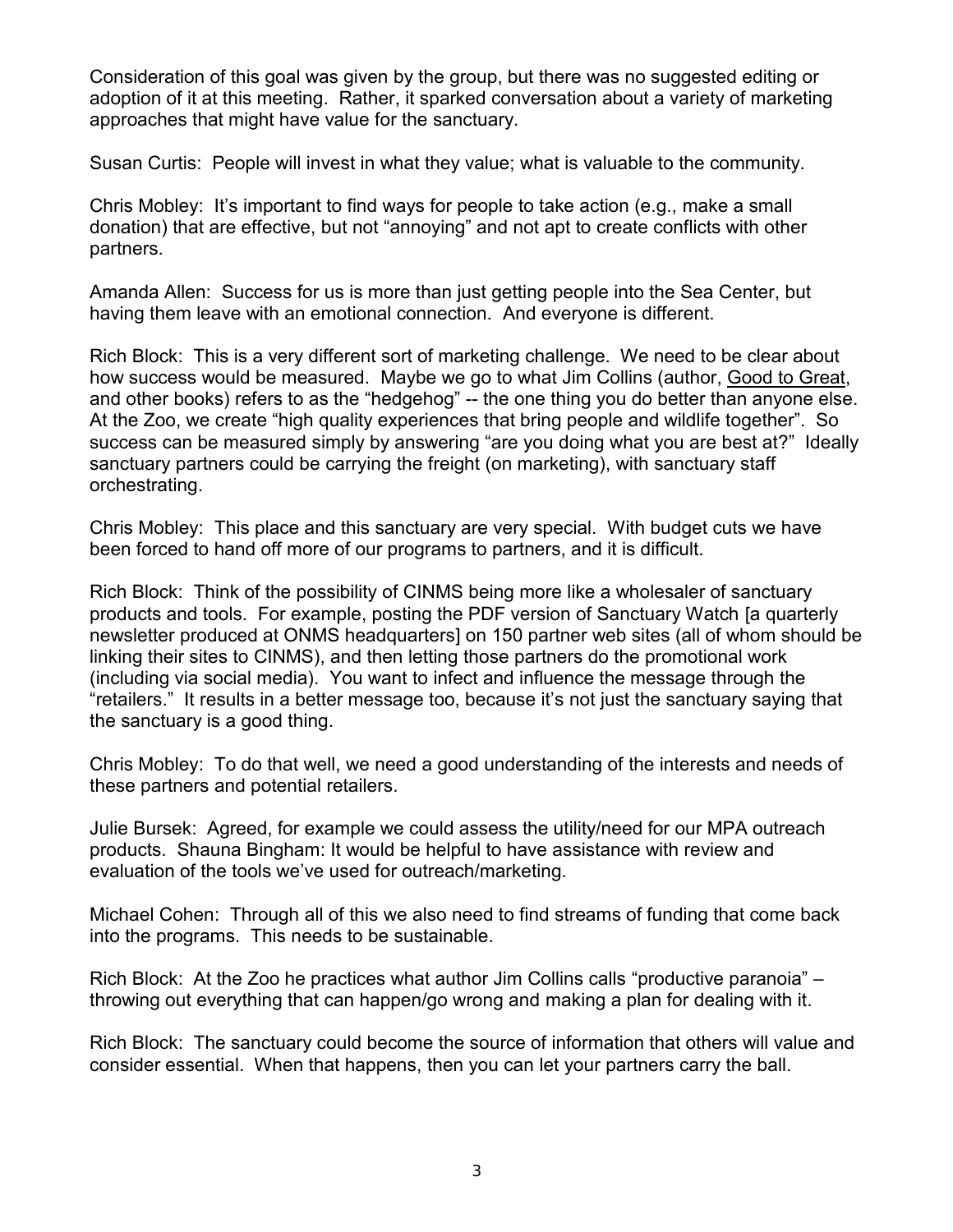adoption of it at this meeting. Rather, it sparked conversation about a variety of marketing Consideration of this goal was given by the group, but there was no suggested editing or approaches that might have value for the sanctuary.

Susan Curtis: People will invest in what they value; what is valuable to the community.

 Chris Mobley: It's important to find ways for people to take action (e.g., make a small donation) that are effective, but not "annoying" and not apt to create conflicts with other partners.

Amanda Allen: Success for us is more than just getting people into the Sea Center, but having them leave with an emotional connection. And everyone is different.

 Rich Block: This is a very different sort of marketing challenge. We need to be clear about how success would be measured. Maybe we go to what Jim Collins (author, <u>Good to Great,</u> and other books) refers to as the "hedgehog" -- the one thing you do better than anyone else. success can be measured simply by answering "are you doing what you are best at?" Ideally sanctuary partners could be carrying the freight (on marketing), with sanctuary staff At the Zoo, we create "high quality experiences that bring people and wildlife together". So orchestrating.

 Chris Mobley: This place and this sanctuary are very special. With budget cuts we have been forced to hand off more of our programs to partners, and it is difficult.

 Rich Block: Think of the possibility of CINMS being more like a wholesaler of sanctuary products and tools. For example, posting the PDF version of Sanctuary Watch [a quarterly (including via social media). You want to infect and influence the message through the "retailers." It results in a better message too, because it's not just the sanctuary saying that newsletter produced at ONMS headquarters] on 150 partner web sites (all of whom should be linking their sites to CINMS), and then letting those partners do the promotional work the sanctuary is a good thing.

 Chris Mobley: To do that well, we need a good understanding of the interests and needs of these partners and potential retailers.

 Julie Bursek: Agreed, for example we could assess the utility/need for our MPA outreach products. Shauna Bingham: It would be helpful to have assistance with review and evaluation of the tools we've used for outreach/marketing.

 Michael Cohen: Through all of this we also need to find streams of funding that come back into the programs. This needs to be sustainable.

 throwing out everything that can happen/go wrong and making a plan for dealing with it. Rich Block: At the Zoo he practices what author Jim Collins calls "productive paranoia" –

 Rich Block: The sanctuary could become the source of information that others will value and consider essential. When that happens, then you can let your partners carry the ball.